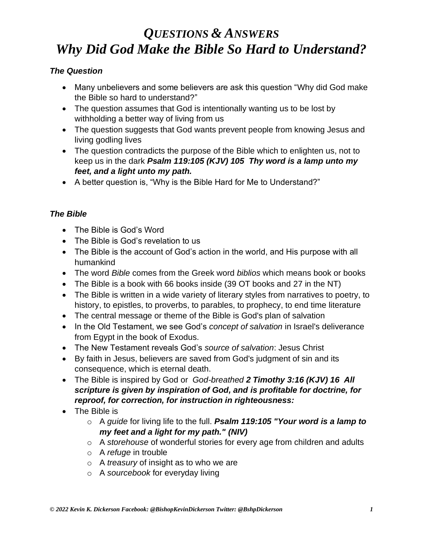## *The Question*

- Many unbelievers and some believers are ask this question "Why did God make the Bible so hard to understand?"
- The question assumes that God is intentionally wanting us to be lost by withholding a better way of living from us
- The question suggests that God wants prevent people from knowing Jesus and living godling lives
- The question contradicts the purpose of the Bible which to enlighten us, not to keep us in the dark *Psalm 119:105 (KJV) 105 Thy word is a lamp unto my feet, and a light unto my path.*
- A better question is, "Why is the Bible Hard for Me to Understand?"

# *The Bible*

- The Bible is God's Word
- The Bible is God's revelation to us
- The Bible is the account of God's action in the world, and His purpose with all humankind
- The word *Bible* comes from the Greek word *biblios* which means book or books
- The Bible is a book with 66 books inside (39 OT books and 27 in the NT)
- The Bible is written in a wide variety of literary styles from narratives to poetry, to history, to epistles, to proverbs, to parables, to prophecy, to end time literature
- The central message or theme of the Bible is God's plan of salvation
- In the Old Testament, we see God's *concept of salvation* in Israel's deliverance from Egypt in the book of Exodus.
- The New Testament reveals God's *source of salvation*: Jesus Christ
- By faith in Jesus, believers are saved from God's judgment of sin and its consequence, which is eternal death.
- The Bible is inspired by God or *God-breathed 2 Timothy 3:16 (KJV) 16 All scripture is given by inspiration of God, and is profitable for doctrine, for reproof, for correction, for instruction in righteousness:*
- The Bible is
	- o A *guide* for living life to the full. *Psalm 119:105 "Your word is a lamp to my feet and a light for my path." (NIV)*
	- o A *storehouse* of wonderful stories for every age from children and adults
	- o A *refuge* in trouble
	- o A *treasury* of insight as to who we are
	- o A *sourcebook* for everyday living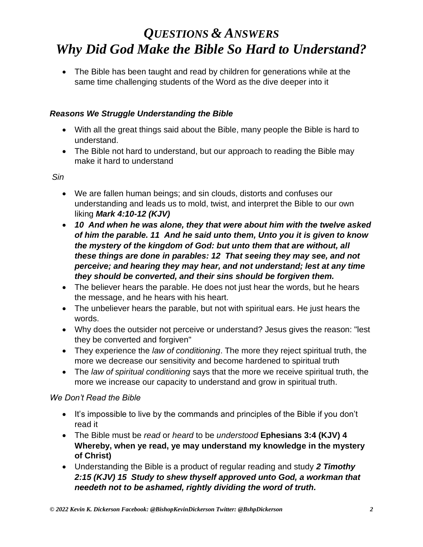• The Bible has been taught and read by children for generations while at the same time challenging students of the Word as the dive deeper into it

# *Reasons We Struggle Understanding the Bible*

- With all the great things said about the Bible, many people the Bible is hard to understand.
- The Bible not hard to understand, but our approach to reading the Bible may make it hard to understand

*Sin*

- We are fallen human beings; and sin clouds, distorts and confuses our understanding and leads us to mold, twist, and interpret the Bible to our own liking *Mark 4:10-12 (KJV)*
- *10 And when he was alone, they that were about him with the twelve asked of him the parable. 11 And he said unto them, Unto you it is given to know the mystery of the kingdom of God: but unto them that are without, all these things are done in parables: 12 That seeing they may see, and not perceive; and hearing they may hear, and not understand; lest at any time they should be converted, and their sins should be forgiven them.*
- The believer hears the parable. He does not just hear the words, but he hears the message, and he hears with his heart.
- The unbeliever hears the parable, but not with spiritual ears. He just hears the words.
- Why does the outsider not perceive or understand? Jesus gives the reason: "lest they be converted and forgiven"
- They experience the *law of conditioning*. The more they reject spiritual truth, the more we decrease our sensitivity and become hardened to spiritual truth
- The *law of spiritual conditioning* says that the more we receive spiritual truth, the more we increase our capacity to understand and grow in spiritual truth.

## *We Don't Read the Bible*

- It's impossible to live by the commands and principles of the Bible if you don't read it
- The Bible must be *read* or *heard* to be *understood* **Ephesians 3:4 (KJV) 4 Whereby, when ye read, ye may understand my knowledge in the mystery of Christ)**
- Understanding the Bible is a product of regular reading and study *2 Timothy 2:15 (KJV) 15 Study to shew thyself approved unto God, a workman that needeth not to be ashamed, rightly dividing the word of truth.*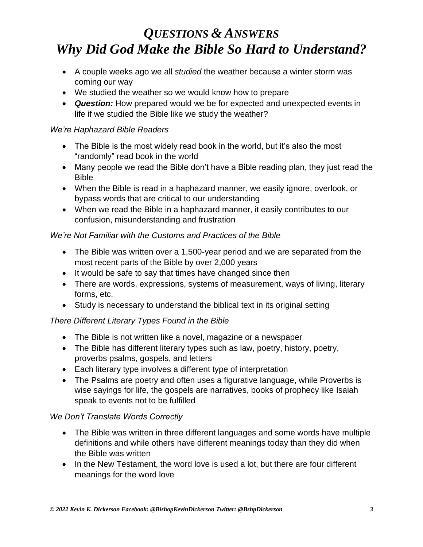- A couple weeks ago we all *studied* the weather because a winter storm was coming our way
- We studied the weather so we would know how to prepare
- *Question:* How prepared would we be for expected and unexpected events in life if we studied the Bible like we study the weather?

### *We're Haphazard Bible Readers*

- The Bible is the most widely read book in the world, but it's also the most "randomly" read book in the world
- Many people we read the Bible don't have a Bible reading plan, they just read the Bible
- When the Bible is read in a haphazard manner, we easily ignore, overlook, or bypass words that are critical to our understanding
- When we read the Bible in a haphazard manner, it easily contributes to our confusion, misunderstanding and frustration

## *We're Not Familiar with the Customs and Practices of the Bible*

- The Bible was written over a 1,500-year period and we are separated from the most recent parts of the Bible by over 2,000 years
- It would be safe to say that times have changed since then
- There are words, expressions, systems of measurement, ways of living, literary forms, etc.
- Study is necessary to understand the biblical text in its original setting

## *There Different Literary Types Found in the Bible*

- The Bible is not written like a novel, magazine or a newspaper
- The Bible has different literary types such as law, poetry, history, poetry, proverbs psalms, gospels, and letters
- Each literary type involves a different type of interpretation
- The Psalms are poetry and often uses a figurative language, while Proverbs is wise sayings for life, the gospels are narratives, books of prophecy like Isaiah speak to events not to be fulfilled

#### *We Don't Translate Words Correctly*

- The Bible was written in three different languages and some words have multiple definitions and while others have different meanings today than they did when the Bible was written
- In the New Testament, the word love is used a lot, but there are four different meanings for the word love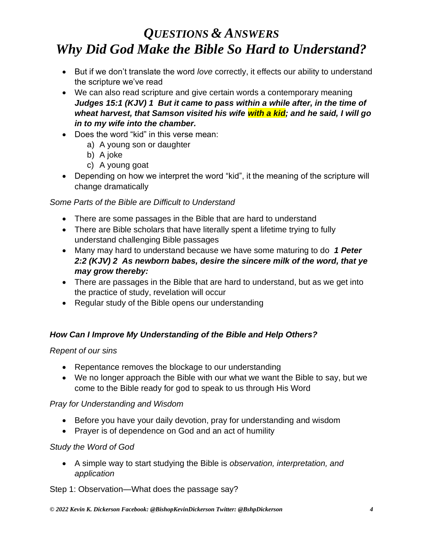- But if we don't translate the word *love* correctly, it effects our ability to understand the scripture we've read
- We can also read scripture and give certain words a contemporary meaning *Judges 15:1 (KJV) 1 But it came to pass within a while after, in the time of wheat harvest, that Samson visited his wife with a kid; and he said, I will go in to my wife into the chamber.*
- Does the word "kid" in this verse mean:
	- a) A young son or daughter
	- b) A joke
	- c) A young goat
- Depending on how we interpret the word "kid", it the meaning of the scripture will change dramatically

### *Some Parts of the Bible are Difficult to Understand*

- There are some passages in the Bible that are hard to understand
- There are Bible scholars that have literally spent a lifetime trying to fully understand challenging Bible passages
- Many may hard to understand because we have some maturing to do *1 Peter 2:2 (KJV) 2 As newborn babes, desire the sincere milk of the word, that ye may grow thereby:*
- There are passages in the Bible that are hard to understand, but as we get into the practice of study, revelation will occur
- Regular study of the Bible opens our understanding

## *How Can I Improve My Understanding of the Bible and Help Others?*

#### *Repent of our sins*

- Repentance removes the blockage to our understanding
- We no longer approach the Bible with our what we want the Bible to say, but we come to the Bible ready for god to speak to us through His Word

#### *Pray for Understanding and Wisdom*

- Before you have your daily devotion, pray for understanding and wisdom
- Prayer is of dependence on God and an act of humility

#### *Study the Word of God*

• A simple way to start studying the Bible is *observation, interpretation, and application*

#### Step 1: Observation—What does the passage say?